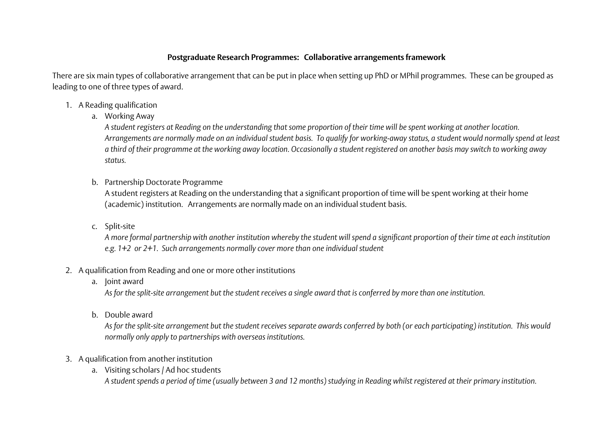## **Postgraduate Research Programmes: Collaborative arrangements framework**

There are six main types of collaborative arrangement that can be put in place when setting up PhD or MPhil programmes. These can be grouped as leading to one of three types of award.

- 1. A Reading qualification
	- a. Working Away

*A student registers at Reading on the understanding that some proportion of their time will be spent working at another location. Arrangements are normally made on an individual student basis. To qualify for working-away status, a student would normally spend at least a third of their programme at the working away location. Occasionally a student registered on another basis may switch to working away status.*

b. Partnership Doctorate Programme

A student registers at Reading on the understanding that a significant proportion of time will be spent working at their home (academic) institution. Arrangements are normally made on an individual student basis.

c. Split-site

*A more formal partnership with another institution whereby the student will spend a significant proportion of their time at each institution e.g. 1+2 or 2+1. Such arrangements normally cover more than one individual student*

## 2. A qualification from Reading and one or more other institutions

a. Joint award

*As for the split-site arrangement but the student receives a single award that is conferred by more than one institution.*

b. Double award

*As for the split-site arrangement but the student receives separate awards conferred by both (or each participating) institution. This would normally only apply to partnerships with overseas institutions.*

- 3. A qualification from another institution
	- a. Visiting scholars / Ad hoc students

*A student spends a period of time (usually between 3 and 12 months) studying in Reading whilst registered at their primary institution.*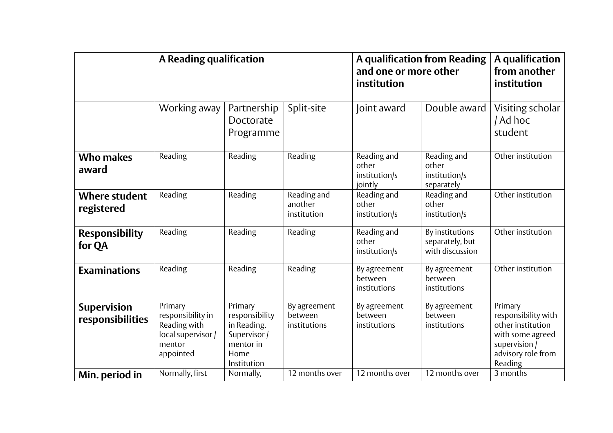|                                        | A Reading qualification                                                                   |                                                                                              |                                         | A qualification from Reading<br>and one or more other<br>institution | A qualification<br>from another<br>institution        |                                                                                                                           |
|----------------------------------------|-------------------------------------------------------------------------------------------|----------------------------------------------------------------------------------------------|-----------------------------------------|----------------------------------------------------------------------|-------------------------------------------------------|---------------------------------------------------------------------------------------------------------------------------|
|                                        | Working away                                                                              | Partnership<br>Doctorate<br>Programme                                                        | Split-site                              | Joint award                                                          | Double award                                          | Visiting scholar<br>/ Ad hoc<br>student                                                                                   |
| <b>Who makes</b><br>award              | Reading                                                                                   | Reading                                                                                      | Reading                                 | Reading and<br>other<br>institution/s<br>jointly                     | Reading and<br>other<br>institution/s<br>separately   | Other institution                                                                                                         |
| <b>Where student</b><br>registered     | Reading                                                                                   | Reading                                                                                      | Reading and<br>another<br>institution   | Reading and<br>other<br>institution/s                                | Reading and<br>other<br>institution/s                 | Other institution                                                                                                         |
| <b>Responsibility</b><br>for QA        | Reading                                                                                   | Reading                                                                                      | Reading                                 | Reading and<br>other<br>institution/s                                | By institutions<br>separately, but<br>with discussion | Other institution                                                                                                         |
| <b>Examinations</b>                    | Reading                                                                                   | Reading                                                                                      | Reading                                 | By agreement<br>between<br>institutions                              | By agreement<br>between<br>institutions               | Other institution                                                                                                         |
| <b>Supervision</b><br>responsibilities | Primary<br>responsibility in<br>Reading with<br>local supervisor /<br>mentor<br>appointed | Primary<br>responsibility<br>in Reading.<br>Supervisor /<br>mentor in<br>Home<br>Institution | By agreement<br>between<br>institutions | By agreement<br>between<br>institutions                              | By agreement<br>between<br>institutions               | Primary<br>responsibility with<br>other institution<br>with some agreed<br>supervision /<br>advisory role from<br>Reading |
| Min. period in                         | Normally, first                                                                           | Normally,                                                                                    | 12 months over                          | 12 months over                                                       | 12 months over                                        | 3 months                                                                                                                  |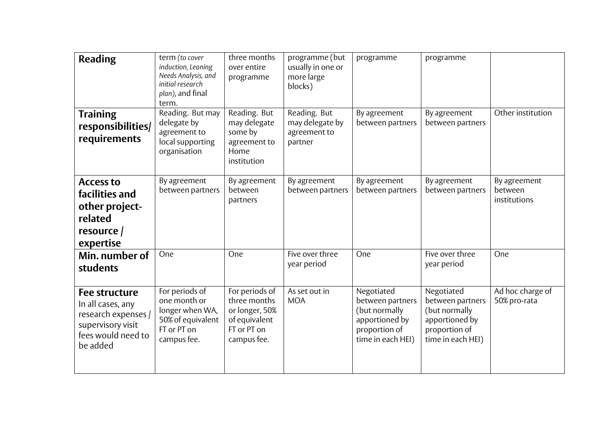| <b>Reading</b>                                                                                                          | term (to cover<br>induction, Leaning<br>Needs Analysis, and<br>initial research<br>plan), and final<br>term. | three months<br>over entire<br>programme                                                        | programme (but<br>usually in one or<br>more large<br>blocks) | programme                                                                                               | programme                                                                                               |                                         |
|-------------------------------------------------------------------------------------------------------------------------|--------------------------------------------------------------------------------------------------------------|-------------------------------------------------------------------------------------------------|--------------------------------------------------------------|---------------------------------------------------------------------------------------------------------|---------------------------------------------------------------------------------------------------------|-----------------------------------------|
| <b>Training</b><br>responsibilities/<br>requirements                                                                    | Reading. But may<br>delegate by<br>agreement to<br>local supporting<br>organisation                          | Reading. But<br>may delegate<br>some by<br>agreement to<br>Home<br>institution                  | Reading. But<br>may delegate by<br>agreement to<br>partner   | By agreement<br>between partners                                                                        | By agreement<br>between partners                                                                        | Other institution                       |
| <b>Access to</b><br>facilities and<br>other project-<br>related<br>resource $/$<br>expertise                            | By agreement<br>between partners                                                                             | By agreement<br>between<br>partners                                                             | By agreement<br>between partners                             | By agreement<br>between partners                                                                        | By agreement<br>between partners                                                                        | By agreement<br>between<br>institutions |
| Min. number of<br>students                                                                                              | One                                                                                                          | One                                                                                             | Five over three<br>year period                               | One                                                                                                     | Five over three<br>year period                                                                          | One                                     |
| <b>Fee structure</b><br>In all cases, any<br>research expenses /<br>supervisory visit<br>fees would need to<br>be added | For periods of<br>one month or<br>longer when WA,<br>50% of equivalent<br>FT or PT on<br>campus fee.         | For periods of<br>three months<br>or longer, 50%<br>of equivalent<br>FT or PT on<br>campus fee. | As set out in<br><b>MOA</b>                                  | Negotiated<br>between partners<br>(but normally<br>apportioned by<br>proportion of<br>time in each HEI) | Negotiated<br>between partners<br>(but normally<br>apportioned by<br>proportion of<br>time in each HEI) | Ad hoc charge of<br>50% pro-rata        |